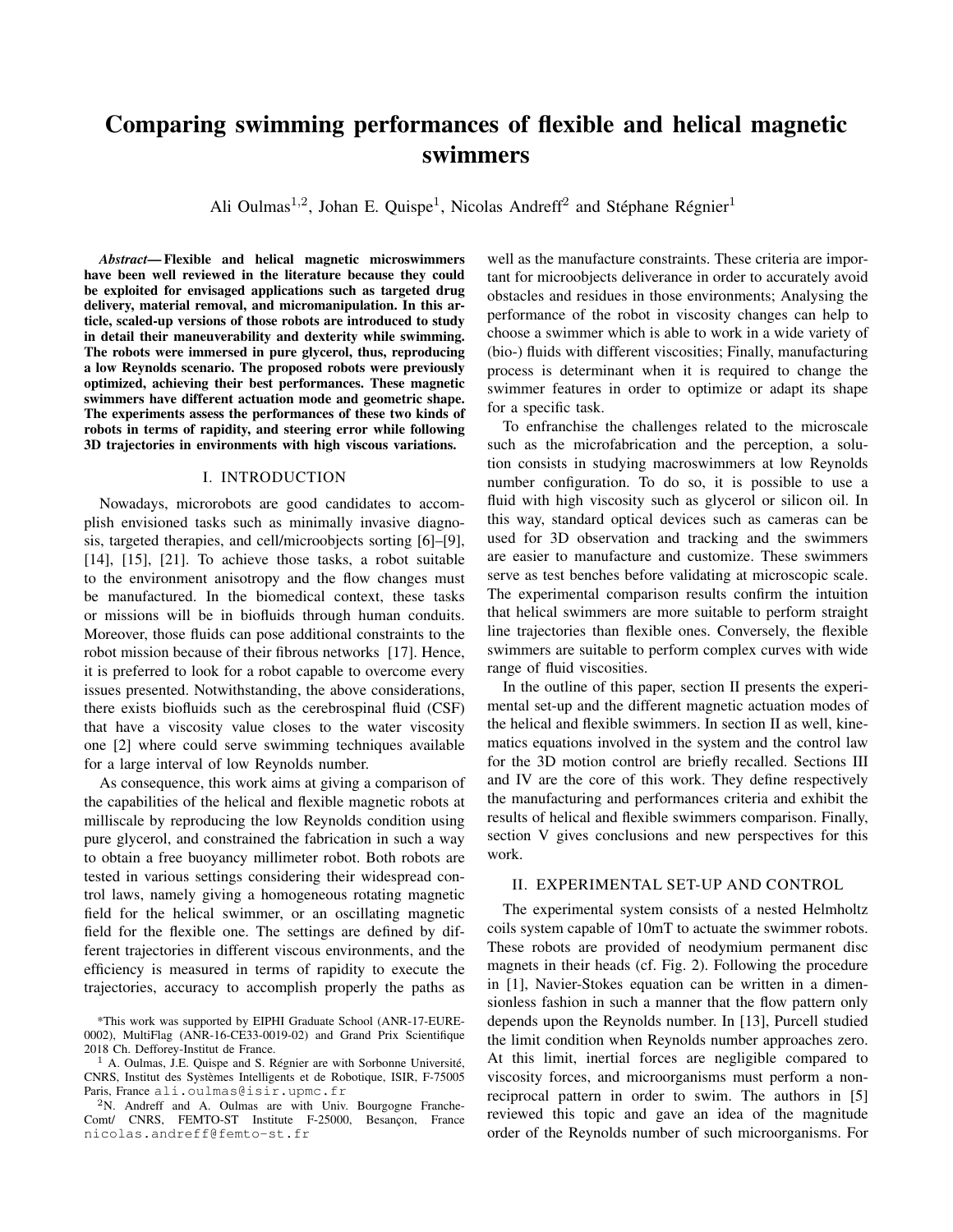# Comparing swimming performances of flexible and helical magnetic swimmers

Ali Oulmas<sup>1,2</sup>, Johan E. Quispe<sup>1</sup>, Nicolas Andreff<sup>2</sup> and Stéphane Régnier<sup>1</sup>

*Abstract*— Flexible and helical magnetic microswimmers have been well reviewed in the literature because they could be exploited for envisaged applications such as targeted drug delivery, material removal, and micromanipulation. In this article, scaled-up versions of those robots are introduced to study in detail their maneuverability and dexterity while swimming. The robots were immersed in pure glycerol, thus, reproducing a low Reynolds scenario. The proposed robots were previously optimized, achieving their best performances. These magnetic swimmers have different actuation mode and geometric shape. The experiments assess the performances of these two kinds of robots in terms of rapidity, and steering error while following 3D trajectories in environments with high viscous variations.

# I. INTRODUCTION

Nowadays, microrobots are good candidates to accomplish envisioned tasks such as minimally invasive diagnosis, targeted therapies, and cell/microobjects sorting [6]–[9], [14], [15], [21]. To achieve those tasks, a robot suitable to the environment anisotropy and the flow changes must be manufactured. In the biomedical context, these tasks or missions will be in biofluids through human conduits. Moreover, those fluids can pose additional constraints to the robot mission because of their fibrous networks [17]. Hence, it is preferred to look for a robot capable to overcome every issues presented. Notwithstanding, the above considerations, there exists biofluids such as the cerebrospinal fluid (CSF) that have a viscosity value closes to the water viscosity one [2] where could serve swimming techniques available for a large interval of low Reynolds number.

As consequence, this work aims at giving a comparison of the capabilities of the helical and flexible magnetic robots at milliscale by reproducing the low Reynolds condition using pure glycerol, and constrained the fabrication in such a way to obtain a free buoyancy millimeter robot. Both robots are tested in various settings considering their widespread control laws, namely giving a homogeneous rotating magnetic field for the helical swimmer, or an oscillating magnetic field for the flexible one. The settings are defined by different trajectories in different viscous environments, and the efficiency is measured in terms of rapidity to execute the trajectories, accuracy to accomplish properly the paths as

well as the manufacture constraints. These criteria are important for microobjects deliverance in order to accurately avoid obstacles and residues in those environments; Analysing the performance of the robot in viscosity changes can help to choose a swimmer which is able to work in a wide variety of (bio-) fluids with different viscosities; Finally, manufacturing process is determinant when it is required to change the swimmer features in order to optimize or adapt its shape for a specific task.

To enfranchise the challenges related to the microscale such as the microfabrication and the perception, a solution consists in studying macroswimmers at low Reynolds number configuration. To do so, it is possible to use a fluid with high viscosity such as glycerol or silicon oil. In this way, standard optical devices such as cameras can be used for 3D observation and tracking and the swimmers are easier to manufacture and customize. These swimmers serve as test benches before validating at microscopic scale. The experimental comparison results confirm the intuition that helical swimmers are more suitable to perform straight line trajectories than flexible ones. Conversely, the flexible swimmers are suitable to perform complex curves with wide range of fluid viscosities.

In the outline of this paper, section II presents the experimental set-up and the different magnetic actuation modes of the helical and flexible swimmers. In section II as well, kinematics equations involved in the system and the control law for the 3D motion control are briefly recalled. Sections III and IV are the core of this work. They define respectively the manufacturing and performances criteria and exhibit the results of helical and flexible swimmers comparison. Finally, section V gives conclusions and new perspectives for this work.

## II. EXPERIMENTAL SET-UP AND CONTROL

The experimental system consists of a nested Helmholtz coils system capable of 10mT to actuate the swimmer robots. These robots are provided of neodymium permanent disc magnets in their heads (cf. Fig. 2). Following the procedure in [1], Navier-Stokes equation can be written in a dimensionless fashion in such a manner that the flow pattern only depends upon the Reynolds number. In [13], Purcell studied the limit condition when Reynolds number approaches zero. At this limit, inertial forces are negligible compared to viscosity forces, and microorganisms must perform a nonreciprocal pattern in order to swim. The authors in [5] reviewed this topic and gave an idea of the magnitude order of the Reynolds number of such microorganisms. For

<sup>\*</sup>This work was supported by EIPHI Graduate School (ANR-17-EURE-0002), MultiFlag (ANR-16-CE33-0019-02) and Grand Prix Scientifique 2018 Ch. Defforey-Institut de France.

 $<sup>1</sup>$  A. Oulmas, J.E. Quispe and S. Régnier are with Sorbonne Université,</sup> CNRS, Institut des Systemes Intelligents et de Robotique, ISIR, F-75005 ` Paris, France ali.oulmas@isir.upmc.fr

<sup>2</sup>N. Andreff and A. Oulmas are with Univ. Bourgogne Franche-Comt/ CNRS, FEMTO-ST Institute F-25000, Besançon, France nicolas.andreff@femto-st.fr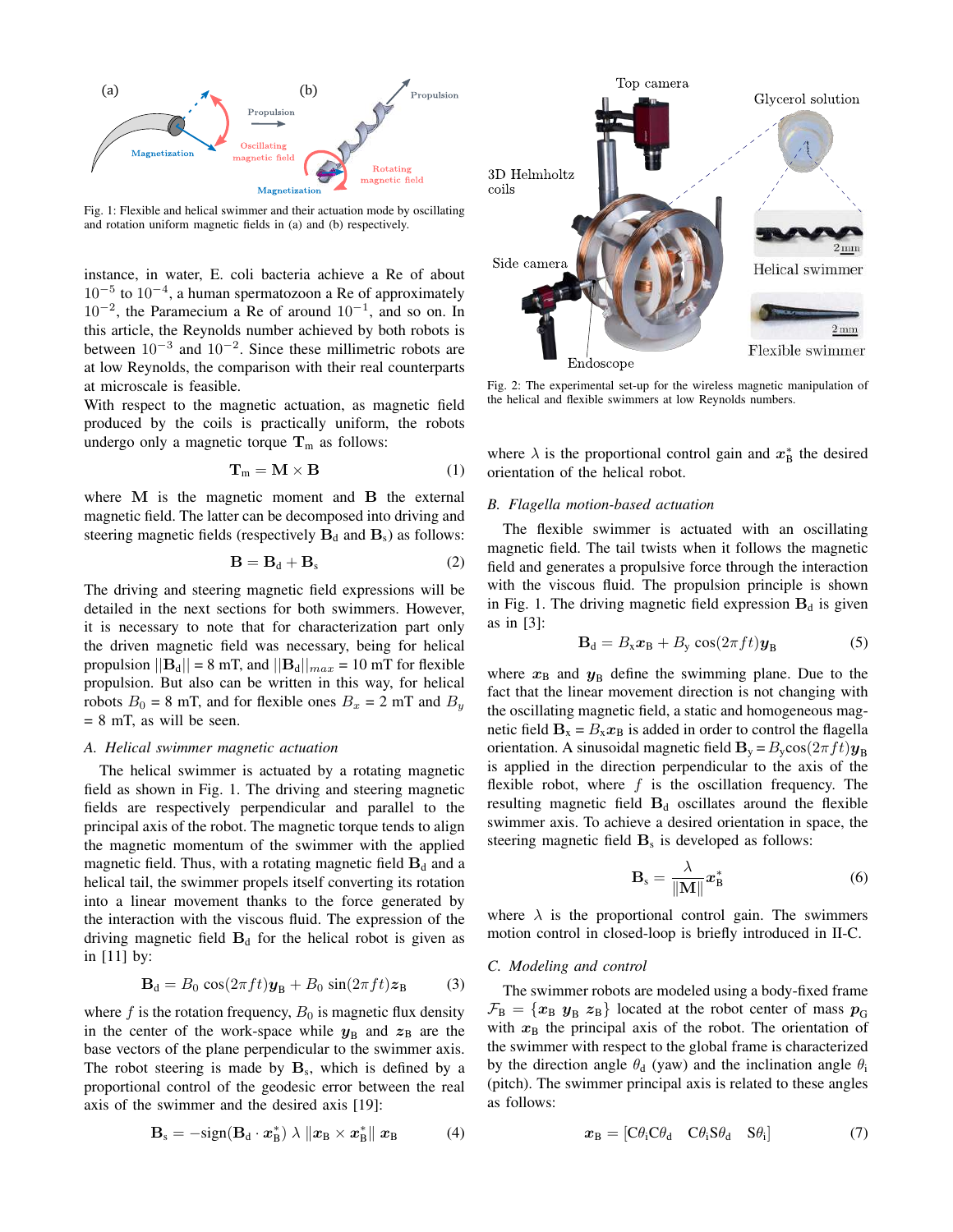

Fig. 1: Flexible and helical swimmer and their actuation mode by oscillating and rotation uniform magnetic fields in (a) and (b) respectively.

instance, in water, E. coli bacteria achieve a Re of about 10−<sup>5</sup> to 10−<sup>4</sup> , a human spermatozoon a Re of approximately 10−<sup>2</sup> , the Paramecium a Re of around 10−<sup>1</sup> , and so on. In this article, the Reynolds number achieved by both robots is between  $10^{-3}$  and  $10^{-2}$ . Since these millimetric robots are at low Reynolds, the comparison with their real counterparts at microscale is feasible.

With respect to the magnetic actuation, as magnetic field produced by the coils is practically uniform, the robots undergo only a magnetic torque  $T_m$  as follows:

$$
\mathbf{T}_m = \mathbf{M} \times \mathbf{B} \tag{1}
$$

where M is the magnetic moment and B the external magnetic field. The latter can be decomposed into driving and steering magnetic fields (respectively  $B_d$  and  $B_s$ ) as follows:

$$
\mathbf{B} = \mathbf{B}_d + \mathbf{B}_s \tag{2}
$$

The driving and steering magnetic field expressions will be detailed in the next sections for both swimmers. However, it is necessary to note that for characterization part only the driven magnetic field was necessary, being for helical propulsion  $||\mathbf{B}_d|| = 8$  mT, and  $||\mathbf{B}_d||_{max} = 10$  mT for flexible propulsion. But also can be written in this way, for helical robots  $B_0 = 8$  mT, and for flexible ones  $B_x = 2$  mT and  $B_y$  $= 8$  mT, as will be seen.

## *A. Helical swimmer magnetic actuation*

The helical swimmer is actuated by a rotating magnetic field as shown in Fig. 1. The driving and steering magnetic fields are respectively perpendicular and parallel to the principal axis of the robot. The magnetic torque tends to align the magnetic momentum of the swimmer with the applied magnetic field. Thus, with a rotating magnetic field  $B_d$  and a helical tail, the swimmer propels itself converting its rotation into a linear movement thanks to the force generated by the interaction with the viscous fluid. The expression of the driving magnetic field  $B_d$  for the helical robot is given as in [11] by:

$$
\mathbf{B}_{\mathrm{d}} = B_0 \cos(2\pi ft)\mathbf{y}_{\mathrm{B}} + B_0 \sin(2\pi ft)\mathbf{z}_{\mathrm{B}} \tag{3}
$$

where f is the rotation frequency,  $B_0$  is magnetic flux density in the center of the work-space while  $y_B$  and  $z_B$  are the base vectors of the plane perpendicular to the swimmer axis. The robot steering is made by  $\mathbf{B}_s$ , which is defined by a proportional control of the geodesic error between the real axis of the swimmer and the desired axis [19]:

$$
\mathbf{B}_{\rm s} = -\text{sign}(\mathbf{B}_{\rm d} \cdot \boldsymbol{x}_{\rm B}^*) \lambda \|\boldsymbol{x}_{\rm B} \times \boldsymbol{x}_{\rm B}^*\| \boldsymbol{x}_{\rm B}
$$
 (4)



Fig. 2: The experimental set-up for the wireless magnetic manipulation of the helical and flexible swimmers at low Reynolds numbers.

where  $\lambda$  is the proportional control gain and  $x^*_{\text{B}}$  the desired orientation of the helical robot.

## *B. Flagella motion-based actuation*

The flexible swimmer is actuated with an oscillating magnetic field. The tail twists when it follows the magnetic field and generates a propulsive force through the interaction with the viscous fluid. The propulsion principle is shown in Fig. 1. The driving magnetic field expression  $B_d$  is given as in [3]:

$$
\mathbf{B}_{\mathrm{d}} = B_{\mathrm{x}} \mathbf{x}_{\mathrm{B}} + B_{\mathrm{y}} \cos(2\pi f t) \mathbf{y}_{\mathrm{B}} \tag{5}
$$

where  $x_B$  and  $y_B$  define the swimming plane. Due to the fact that the linear movement direction is not changing with the oscillating magnetic field, a static and homogeneous magnetic field  $\mathbf{B}_{x} = B_{x}x_{B}$  is added in order to control the flagella orientation. A sinusoidal magnetic field  $\mathbf{B}_{\rm y} = B_{\rm y} \cos(2\pi f t) \mathbf{y}_{\rm B}$ is applied in the direction perpendicular to the axis of the flexible robot, where  $f$  is the oscillation frequency. The resulting magnetic field  $B_d$  oscillates around the flexible swimmer axis. To achieve a desired orientation in space, the steering magnetic field  $\mathbf{B}_s$  is developed as follows:

$$
\mathbf{B}_{\rm s} = \frac{\lambda}{\|\mathbf{M}\|} \mathbf{x}_{\rm B}^* \tag{6}
$$

where  $\lambda$  is the proportional control gain. The swimmers motion control in closed-loop is briefly introduced in II-C.

## *C. Modeling and control*

The swimmer robots are modeled using a body-fixed frame  $\mathcal{F}_{\rm B} = \{x_{\rm B}, y_{\rm B}, z_{\rm B}\}\$ located at the robot center of mass  $p_{\rm G}$ with  $x_B$  the principal axis of the robot. The orientation of the swimmer with respect to the global frame is characterized by the direction angle  $\theta_d$  (yaw) and the inclination angle  $\theta_i$ (pitch). The swimmer principal axis is related to these angles as follows:

$$
\boldsymbol{x}_{\text{B}} = \begin{bmatrix} C\theta_{\text{i}} C\theta_{\text{d}} & C\theta_{\text{i}} S\theta_{\text{d}} & S\theta_{\text{i}} \end{bmatrix} \tag{7}
$$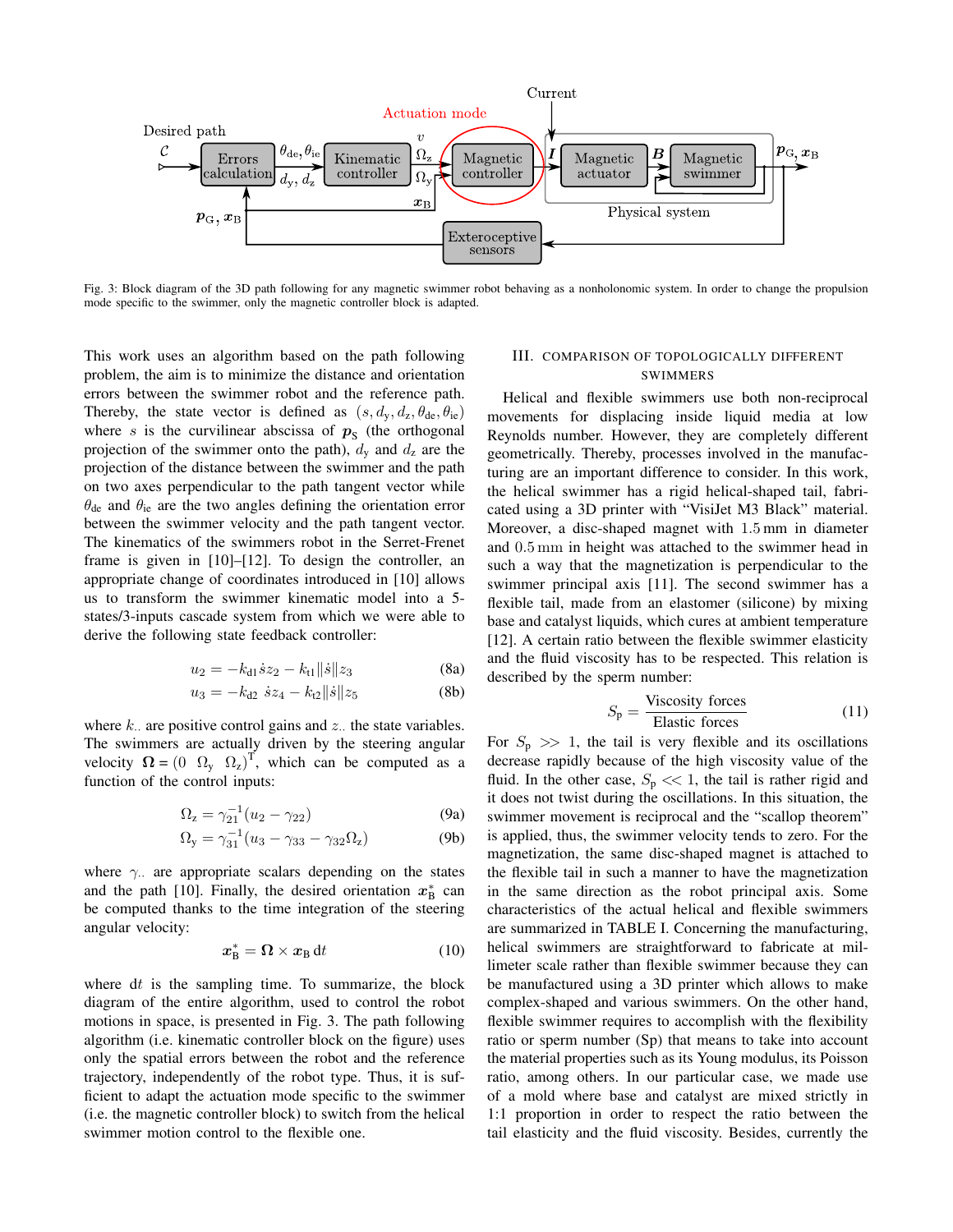

Fig. 3: Block diagram of the 3D path following for any magnetic swimmer robot behaving as a nonholonomic system. In order to change the propulsion mode specific to the swimmer, only the magnetic controller block is adapted.

This work uses an algorithm based on the path following problem, the aim is to minimize the distance and orientation errors between the swimmer robot and the reference path. Thereby, the state vector is defined as  $(s, d_{v}, d_{z}, \theta_{de}, \theta_{ie})$ where s is the curvilinear abscissa of  $p<sub>S</sub>$  (the orthogonal projection of the swimmer onto the path),  $d_y$  and  $d_z$  are the projection of the distance between the swimmer and the path on two axes perpendicular to the path tangent vector while  $\theta_{de}$  and  $\theta_{ie}$  are the two angles defining the orientation error between the swimmer velocity and the path tangent vector. The kinematics of the swimmers robot in the Serret-Frenet frame is given in [10]–[12]. To design the controller, an appropriate change of coordinates introduced in [10] allows us to transform the swimmer kinematic model into a 5 states/3-inputs cascade system from which we were able to derive the following state feedback controller:

$$
u_2 = -k_{d1}\dot{s}z_2 - k_{t1}||\dot{s}||z_3 \tag{8a}
$$

$$
u_3 = -k_{d2} \dot{z} z_4 - k_{d2} ||\dot{z}|| z_5 \tag{8b}
$$

where  $k$ . are positive control gains and  $z$ . the state variables. The swimmers are actually driven by the steering angular velocity  $\mathbf{\Omega} = \begin{pmatrix} 0 & \Omega_y & \Omega_z \end{pmatrix}^T$ , which can be computed as a function of the control inputs:

$$
\Omega_z = \gamma_{21}^{-1} (u_2 - \gamma_{22})
$$
 (9a)

$$
\Omega_{y} = \gamma_{31}^{-1} (u_3 - \gamma_{33} - \gamma_{32} \Omega_z)
$$
 (9b)

where  $\gamma$ . are appropriate scalars depending on the states and the path [10]. Finally, the desired orientation  $x^*_{\text{B}}$  can be computed thanks to the time integration of the steering angular velocity:

$$
x_{\rm B}^* = \Omega \times x_{\rm B} \, \mathrm{d}t \tag{10}
$$

where  $dt$  is the sampling time. To summarize, the block diagram of the entire algorithm, used to control the robot motions in space, is presented in Fig. 3. The path following algorithm (i.e. kinematic controller block on the figure) uses only the spatial errors between the robot and the reference trajectory, independently of the robot type. Thus, it is sufficient to adapt the actuation mode specific to the swimmer (i.e. the magnetic controller block) to switch from the helical swimmer motion control to the flexible one.

# III. COMPARISON OF TOPOLOGICALLY DIFFERENT SWIMMERS

Helical and flexible swimmers use both non-reciprocal movements for displacing inside liquid media at low Reynolds number. However, they are completely different geometrically. Thereby, processes involved in the manufacturing are an important difference to consider. In this work, the helical swimmer has a rigid helical-shaped tail, fabricated using a 3D printer with "VisiJet M3 Black" material. Moreover, a disc-shaped magnet with 1.5 mm in diameter and 0.5 mm in height was attached to the swimmer head in such a way that the magnetization is perpendicular to the swimmer principal axis [11]. The second swimmer has a flexible tail, made from an elastomer (silicone) by mixing base and catalyst liquids, which cures at ambient temperature [12]. A certain ratio between the flexible swimmer elasticity and the fluid viscosity has to be respected. This relation is described by the sperm number:

$$
S_p = \frac{\text{Viscosity forces}}{\text{Elastic forces}} \tag{11}
$$

For  $S_p \gg 1$ , the tail is very flexible and its oscillations decrease rapidly because of the high viscosity value of the fluid. In the other case,  $S_p \ll 1$ , the tail is rather rigid and it does not twist during the oscillations. In this situation, the swimmer movement is reciprocal and the "scallop theorem" is applied, thus, the swimmer velocity tends to zero. For the magnetization, the same disc-shaped magnet is attached to the flexible tail in such a manner to have the magnetization in the same direction as the robot principal axis. Some characteristics of the actual helical and flexible swimmers are summarized in TABLE I. Concerning the manufacturing, helical swimmers are straightforward to fabricate at millimeter scale rather than flexible swimmer because they can be manufactured using a 3D printer which allows to make complex-shaped and various swimmers. On the other hand, flexible swimmer requires to accomplish with the flexibility ratio or sperm number (Sp) that means to take into account the material properties such as its Young modulus, its Poisson ratio, among others. In our particular case, we made use of a mold where base and catalyst are mixed strictly in 1:1 proportion in order to respect the ratio between the tail elasticity and the fluid viscosity. Besides, currently the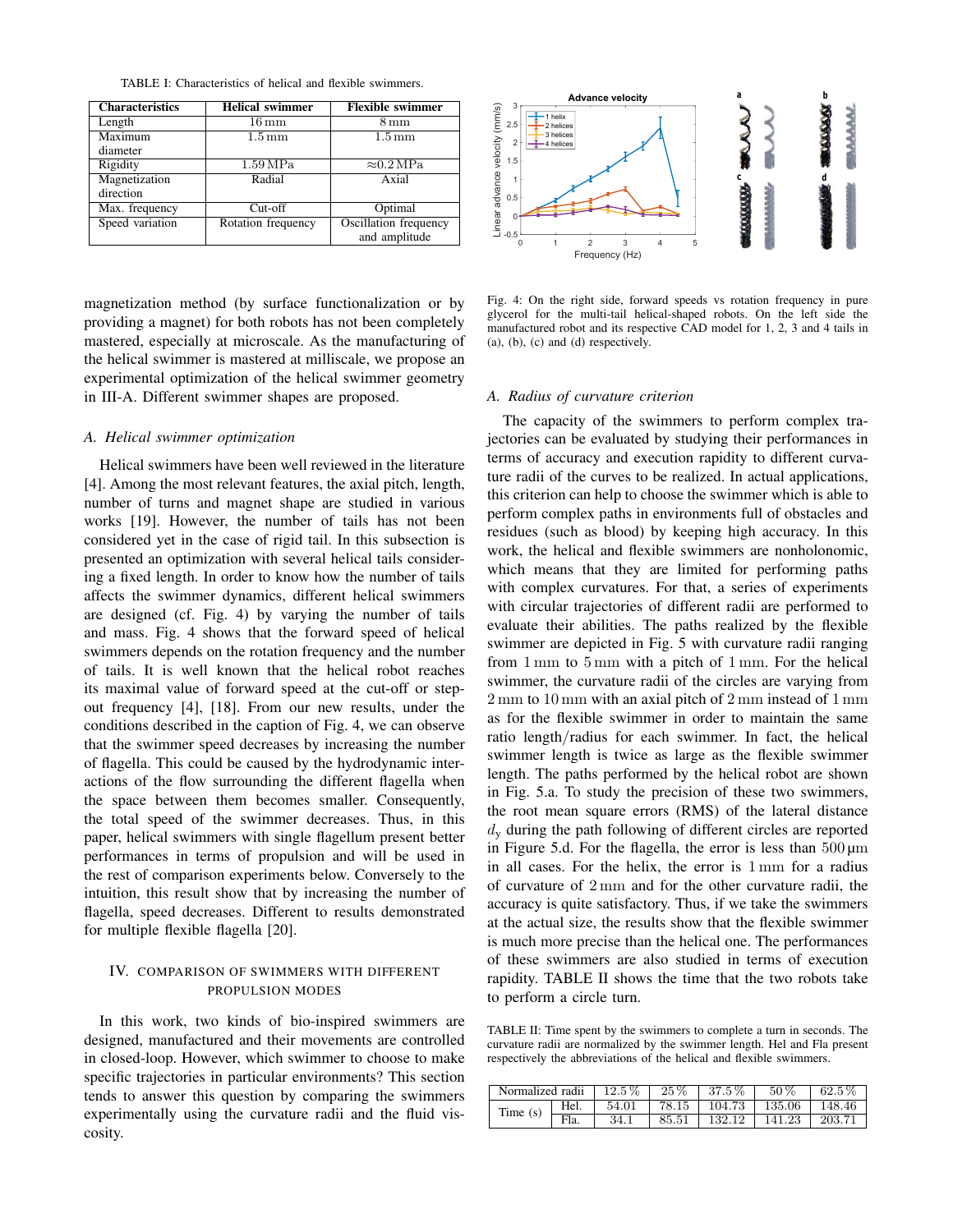TABLE I: Characteristics of helical and flexible swimmers.

| <b>Characteristics</b> | <b>Helical swimmer</b> | <b>Flexible swimmer</b>   |  |
|------------------------|------------------------|---------------------------|--|
| Length                 | $16\,\rm{mm}$          | $8 \,\mathrm{mm}$         |  |
| Maximum                | $1.5 \,\mathrm{mm}$    | $1.5 \,\mathrm{mm}$       |  |
| diameter               |                        |                           |  |
| Rigidity               | 1.59 MPa               | $\approx 0.2 \text{ MPa}$ |  |
| Magnetization          | Radial                 | Axial                     |  |
| direction              |                        |                           |  |
| Max. frequency         | $Cut-off$              | Optimal                   |  |
| Speed variation        | Rotation frequency     | Oscillation frequency     |  |
|                        |                        | and amplitude             |  |

magnetization method (by surface functionalization or by providing a magnet) for both robots has not been completely mastered, especially at microscale. As the manufacturing of the helical swimmer is mastered at milliscale, we propose an experimental optimization of the helical swimmer geometry in III-A. Different swimmer shapes are proposed.

#### *A. Helical swimmer optimization*

Helical swimmers have been well reviewed in the literature [4]. Among the most relevant features, the axial pitch, length, number of turns and magnet shape are studied in various works [19]. However, the number of tails has not been considered yet in the case of rigid tail. In this subsection is presented an optimization with several helical tails considering a fixed length. In order to know how the number of tails affects the swimmer dynamics, different helical swimmers are designed (cf. Fig. 4) by varying the number of tails and mass. Fig. 4 shows that the forward speed of helical swimmers depends on the rotation frequency and the number of tails. It is well known that the helical robot reaches its maximal value of forward speed at the cut-off or stepout frequency [4], [18]. From our new results, under the conditions described in the caption of Fig. 4, we can observe that the swimmer speed decreases by increasing the number of flagella. This could be caused by the hydrodynamic interactions of the flow surrounding the different flagella when the space between them becomes smaller. Consequently, the total speed of the swimmer decreases. Thus, in this paper, helical swimmers with single flagellum present better performances in terms of propulsion and will be used in the rest of comparison experiments below. Conversely to the intuition, this result show that by increasing the number of flagella, speed decreases. Different to results demonstrated for multiple flexible flagella [20].

## IV. COMPARISON OF SWIMMERS WITH DIFFERENT PROPULSION MODES

In this work, two kinds of bio-inspired swimmers are designed, manufactured and their movements are controlled in closed-loop. However, which swimmer to choose to make specific trajectories in particular environments? This section tends to answer this question by comparing the swimmers experimentally using the curvature radii and the fluid viscosity.



Fig. 4: On the right side, forward speeds vs rotation frequency in pure glycerol for the multi-tail helical-shaped robots. On the left side the manufactured robot and its respective CAD model for 1, 2, 3 and 4 tails in (a), (b), (c) and (d) respectively.

#### *A. Radius of curvature criterion*

The capacity of the swimmers to perform complex trajectories can be evaluated by studying their performances in terms of accuracy and execution rapidity to different curvature radii of the curves to be realized. In actual applications, this criterion can help to choose the swimmer which is able to perform complex paths in environments full of obstacles and residues (such as blood) by keeping high accuracy. In this work, the helical and flexible swimmers are nonholonomic, which means that they are limited for performing paths with complex curvatures. For that, a series of experiments with circular trajectories of different radii are performed to evaluate their abilities. The paths realized by the flexible swimmer are depicted in Fig. 5 with curvature radii ranging from 1 mm to 5 mm with a pitch of 1 mm. For the helical swimmer, the curvature radii of the circles are varying from 2 mm to 10 mm with an axial pitch of 2 mm instead of 1 mm as for the flexible swimmer in order to maintain the same ratio length/radius for each swimmer. In fact, the helical swimmer length is twice as large as the flexible swimmer length. The paths performed by the helical robot are shown in Fig. 5.a. To study the precision of these two swimmers, the root mean square errors (RMS) of the lateral distance  $d<sub>v</sub>$  during the path following of different circles are reported in Figure 5.d. For the flagella, the error is less than  $500 \,\mathrm{\upmu m}$ in all cases. For the helix, the error is 1 mm for a radius of curvature of 2 mm and for the other curvature radii, the accuracy is quite satisfactory. Thus, if we take the swimmers at the actual size, the results show that the flexible swimmer is much more precise than the helical one. The performances of these swimmers are also studied in terms of execution rapidity. TABLE II shows the time that the two robots take to perform a circle turn.

TABLE II: Time spent by the swimmers to complete a turn in seconds. The curvature radii are normalized by the swimmer length. Hel and Fla present respectively the abbreviations of the helical and flexible swimmers.

| Normalized radii |      | $12.5\%$ 25\% |       | $1.37.5\%$ 1   | $50\%$            | $162.5\%$ |
|------------------|------|---------------|-------|----------------|-------------------|-----------|
| Time $(s)$       | Hel. | 54.01         |       | 78.15   104.73 | $135.06$   148.46 |           |
|                  | Fla  | 34.1          | 85.51 | 132.12         | 141.23            | 203.71    |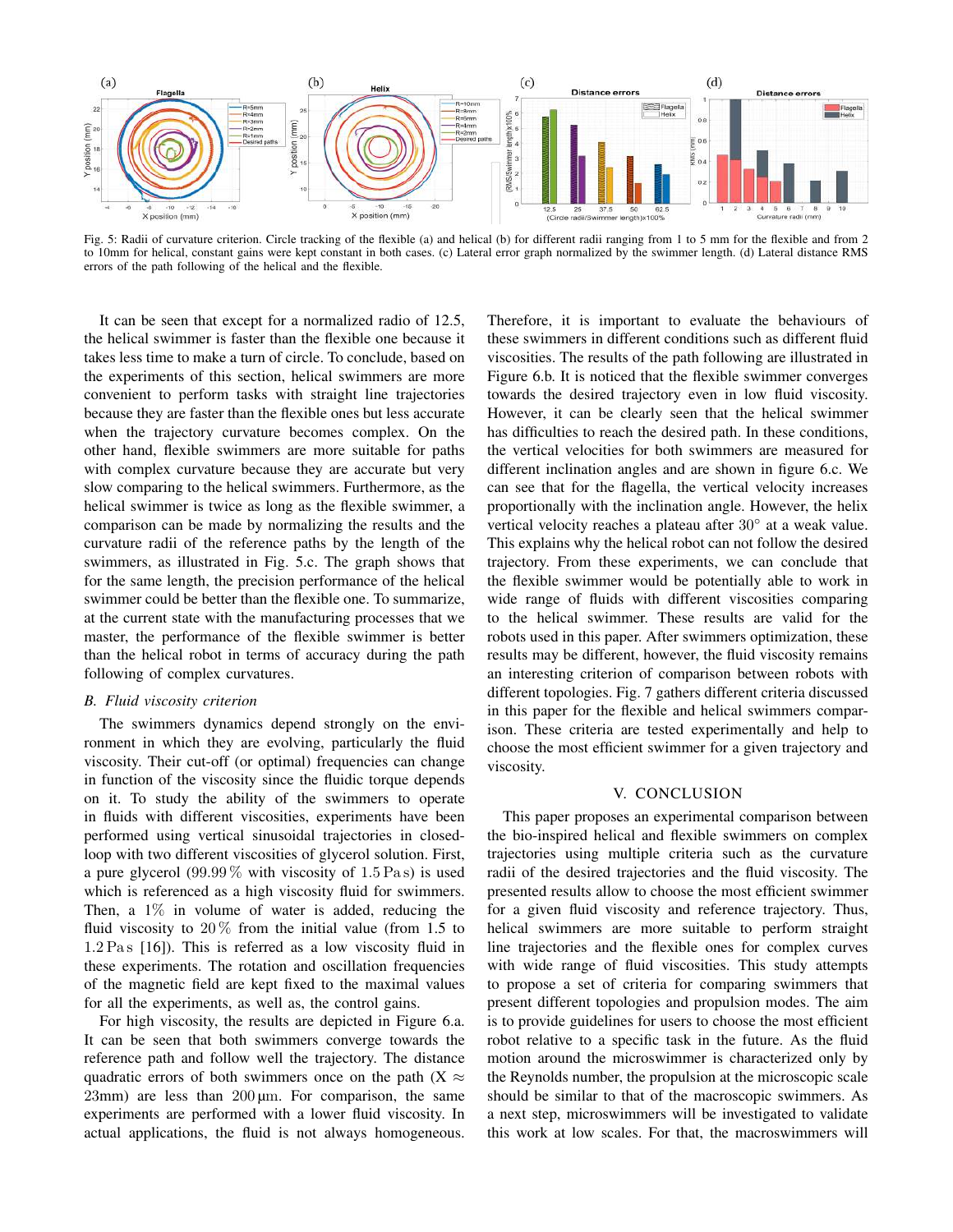

Fig. 5: Radii of curvature criterion. Circle tracking of the flexible (a) and helical (b) for different radii ranging from 1 to 5 mm for the flexible and from 2 to 10mm for helical, constant gains were kept constant in both cases. (c) Lateral error graph normalized by the swimmer length. (d) Lateral distance RMS errors of the path following of the helical and the flexible.

It can be seen that except for a normalized radio of 12.5, the helical swimmer is faster than the flexible one because it takes less time to make a turn of circle. To conclude, based on the experiments of this section, helical swimmers are more convenient to perform tasks with straight line trajectories because they are faster than the flexible ones but less accurate when the trajectory curvature becomes complex. On the other hand, flexible swimmers are more suitable for paths with complex curvature because they are accurate but very slow comparing to the helical swimmers. Furthermore, as the helical swimmer is twice as long as the flexible swimmer, a comparison can be made by normalizing the results and the curvature radii of the reference paths by the length of the swimmers, as illustrated in Fig. 5.c. The graph shows that for the same length, the precision performance of the helical swimmer could be better than the flexible one. To summarize, at the current state with the manufacturing processes that we master, the performance of the flexible swimmer is better than the helical robot in terms of accuracy during the path following of complex curvatures.

#### *B. Fluid viscosity criterion*

The swimmers dynamics depend strongly on the environment in which they are evolving, particularly the fluid viscosity. Their cut-off (or optimal) frequencies can change in function of the viscosity since the fluidic torque depends on it. To study the ability of the swimmers to operate in fluids with different viscosities, experiments have been performed using vertical sinusoidal trajectories in closedloop with two different viscosities of glycerol solution. First, a pure glycerol  $(99.99\%$  with viscosity of 1.5 Pas) is used which is referenced as a high viscosity fluid for swimmers. Then, a 1% in volume of water is added, reducing the fluid viscosity to  $20\%$  from the initial value (from 1.5 to  $1.2 \text{ Pas}$  [16]). This is referred as a low viscosity fluid in these experiments. The rotation and oscillation frequencies of the magnetic field are kept fixed to the maximal values for all the experiments, as well as, the control gains.

For high viscosity, the results are depicted in Figure 6.a. It can be seen that both swimmers converge towards the reference path and follow well the trajectory. The distance quadratic errors of both swimmers once on the path (X  $\approx$  $23mm$ ) are less than  $200 \mu m$ . For comparison, the same experiments are performed with a lower fluid viscosity. In actual applications, the fluid is not always homogeneous.

Therefore, it is important to evaluate the behaviours of these swimmers in different conditions such as different fluid viscosities. The results of the path following are illustrated in Figure 6.b. It is noticed that the flexible swimmer converges towards the desired trajectory even in low fluid viscosity. However, it can be clearly seen that the helical swimmer has difficulties to reach the desired path. In these conditions, the vertical velocities for both swimmers are measured for different inclination angles and are shown in figure 6.c. We can see that for the flagella, the vertical velocity increases proportionally with the inclination angle. However, the helix vertical velocity reaches a plateau after  $30^{\circ}$  at a weak value. This explains why the helical robot can not follow the desired trajectory. From these experiments, we can conclude that the flexible swimmer would be potentially able to work in wide range of fluids with different viscosities comparing to the helical swimmer. These results are valid for the robots used in this paper. After swimmers optimization, these results may be different, however, the fluid viscosity remains an interesting criterion of comparison between robots with different topologies. Fig. 7 gathers different criteria discussed in this paper for the flexible and helical swimmers comparison. These criteria are tested experimentally and help to choose the most efficient swimmer for a given trajectory and viscosity.

## V. CONCLUSION

This paper proposes an experimental comparison between the bio-inspired helical and flexible swimmers on complex trajectories using multiple criteria such as the curvature radii of the desired trajectories and the fluid viscosity. The presented results allow to choose the most efficient swimmer for a given fluid viscosity and reference trajectory. Thus, helical swimmers are more suitable to perform straight line trajectories and the flexible ones for complex curves with wide range of fluid viscosities. This study attempts to propose a set of criteria for comparing swimmers that present different topologies and propulsion modes. The aim is to provide guidelines for users to choose the most efficient robot relative to a specific task in the future. As the fluid motion around the microswimmer is characterized only by the Reynolds number, the propulsion at the microscopic scale should be similar to that of the macroscopic swimmers. As a next step, microswimmers will be investigated to validate this work at low scales. For that, the macroswimmers will